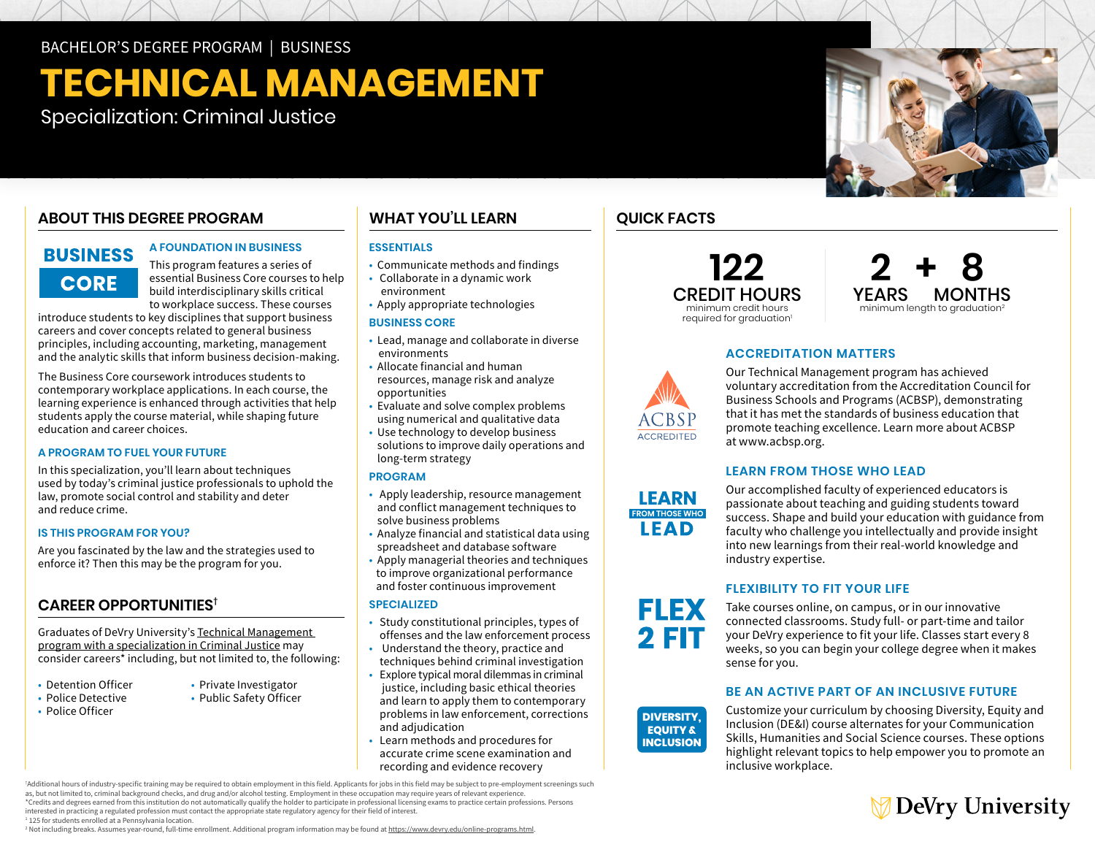BACHELOR'S DEGREE PROGRAM | BUSINESS

# **TECHNICAL MANAGEMENT**

Specialization: Criminal Justice

### **ABOUT THIS DEGREE PROGRAM**

### **BUSINESS CORE**

**A FOUNDATION IN BUSINESS** 

This program features a series of essential Business Core courses to help build interdisciplinary skills critical to workplace success. These courses

introduce students to key disciplines that support business careers and cover concepts related to general business principles, including accounting, marketing, management and the analytic skills that inform business decision-making.

The Business Core coursework introduces students to contemporary workplace applications. In each course, the learning experience is enhanced through activities that help students apply the course material, while shaping future education and career choices.

### **A PROGRAM TO FUEL YOUR FUTURE**

In this specialization, you'll learn about techniques used by today's criminal justice professionals to uphold the law, promote social control and stability and deter and reduce crime.

### **IS THIS PROGRAM FOR YOU?**

Are you fascinated by the law and the strategies used to enforce it? Then this may be the program for you.

### **CAREER OPPORTUNITIES†**

Graduates of DeVry University's [Technical Management](https://www.devry.edu/online-programs/bachelors-degrees/business/criminal-justice-specialization.html)  [program with a specialization in Criminal Justice](https://www.devry.edu/online-programs/bachelors-degrees/business/criminal-justice-specialization.html) may consider careers\* including, but not limited to, the following:

- Detention Officer
- Police Detective
- Police Officer

**WHAT YOU'LL LEARN** 

### **ESSENTIALS**

- Communicate methods and findings
- Collaborate in a dynamic work environment
- Apply appropriate technologies

### **BUSINESS CORE**

- Lead, manage and collaborate in diverse environments
- Allocate financial and human resources, manage risk and analyze opportunities
- Evaluate and solve complex problems using numerical and qualitative data
- Use technology to develop business solutions to improve daily operations and long-term strategy

### **PROGRAM**

- Apply leadership, resource management and conflict management techniques to solve business problems
- Analyze financial and statistical data using spreadsheet and database software
- Apply managerial theories and techniques to improve organizational performance and foster continuous improvement

### **SPECIALIZED**

- Study constitutional principles, types of offenses and the law enforcement process
- Understand the theory, practice and techniques behind criminal investigation
- Explore typical moral dilemmas in criminal justice, including basic ethical theories and learn to apply them to contemporary problems in law enforcement, corrections and adjudication
- Learn methods and procedures for accurate crime scene examination and recording and evidence recovery

† Additional hours of industry-specific training may be required to obtain employment in this field. Applicants for jobs in this field may be subject to pre-employment screenings such as, but not limited to, criminal background checks, and drug and/or alcohol testing. Employment in these occupation may require years of relevant experience. \*Credits and degrees earned from this institution do not automatically qualify the holder to participate in professional licensing exams to practice certain professions. Persons

interested in practicing a regulated profession must contact the appropriate state regulatory agency for their field of interest.

• Private Investigator • Public Safety Officer

<sup>1</sup> 125 for students enrolled at a Pennsylvania location.

<sup>2</sup> Not including breaks. Assumes year-round, full-time enrollment. Additional program information may be found at <u>[https://www.devry.edu/o](https://www.devry.edu/online-programs.html)nline-programs.html</u>.

### **QUICK FACTS**





### **ACCREDITATION MATTERS**



### **LEARN FROM THOSE WHO LEAD**

Our accomplished faculty of experienced educators is passionate about teaching and guiding students toward success. Shape and build your education with guidance from faculty who challenge you intellectually and provide insight into new learnings from their real-world knowledge and industry expertise.

### **FLEXIBILITY TO FIT YOUR LIFE**

Take courses online, on campus, or in our innovative connected classrooms. Study full- or part-time and tailor your DeVry experience to fit your life. Classes start every 8 weeks, so you can begin your college degree when it makes **DIVERSITY,** sense for you.

### **BE AN ACTIVE PART OF AN INCLUSIVE FUTURE**

Customize your curriculum by choosing Diversity, Equity and Inclusion (DE&I) course alternates for your Communication Skills, Humanities and Social Science courses. These options highlight relevant topics to help empower you to promote an inclusive workplace.







**DIVERSITY, EQUITY & INCLUSION**

**LEARN FROM THOSE WHO** LEAD

ACCREDITED